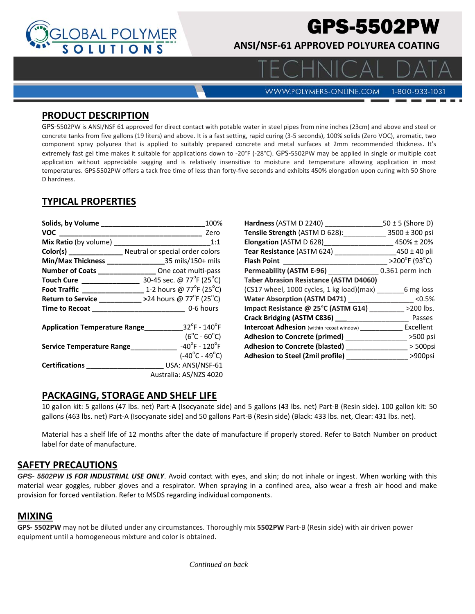

# GPS-5502PW

**ANSI/NSF‐61 APPROVED POLYUREA COATING** 

**WWW.POLYMERS-ONLINE.COM** 

1-800-933-1031

 $\Box$   $\land$ 

#### **PRODUCT DESCRIPTION**

GPS‐5502PW is ANSI/NSF 61 approved for direct contact with potable water in steel pipes from nine inches (23cm) and above and steel or concrete tanks from five gallons (19 liters) and above. It is a fast setting, rapid curing (3‐5 seconds), 100% solids (Zero VOC), aromatic, two component spray polyurea that is applied to suitably prepared concrete and metal surfaces at 2mm recommended thickness. It's extremely fast gel time makes it suitable for applications down to -20°F (-28°C). GPS-5502PW may be applied in single or multiple coat application without appreciable sagging and is relatively insensitive to moisture and temperature allowing application in most temperatures. GPS-5502PW offers a tack free time of less than forty-five seconds and exhibits 450% elongation upon curing with 50 Shore D hardness.

# **TYPICAL PROPERTIES**

|                                                                   | 100%                               |
|-------------------------------------------------------------------|------------------------------------|
| VOC                                                               | Zero                               |
| <b>Mix Ratio</b> (by volume)                                      | 1:1                                |
| Color(s) __________________ Neutral or special order colors       |                                    |
|                                                                   |                                    |
| Number of Coats __________________ One coat multi-pass            |                                    |
| Touch Cure ________________                                       | 30-45 sec. @ 77°F (25°C)           |
| Foot Traffic _________________ 1-2 hours @ 77°F (25°C)            |                                    |
| <b>Return to Service</b> __________ >24 hours @ 77°F (25°C)       |                                    |
|                                                                   |                                    |
| <b>Application Temperature Range</b> $32^\circ$ F - $140^\circ$ F |                                    |
|                                                                   | $(6^{\circ}C - 60^{\circ}C)$       |
| Service Temperature Range                                         | $-40^{\circ}$ F - 120 $^{\circ}$ F |
|                                                                   | $(-40^{\circ}C - 49^{\circ}C)$     |
|                                                                   | USA: ANSI/NSF-61                   |
|                                                                   | Australia: AS/NZS 4020             |

| Hardness (ASTM D 2240)                        | $50 \pm 5$ (Shore D)               |
|-----------------------------------------------|------------------------------------|
| Tensile Strength (ASTM D 628):                | $3500 \pm 300$ psi                 |
| <b>Elongation</b> (ASTM D 628)                | 450% ± 20%                         |
| Tear Resistance (ASTM 624)                    | $450 \pm 40$ pli                   |
| <b>Flash Point</b>                            | $>200^{\circ}$ F (93 $^{\circ}$ C) |
| Permeability (ASTM E-96)                      | 0.361 perm inch                    |
| <b>Taber Abrasion Resistance (ASTM D4060)</b> |                                    |
| (CS17 wheel, 1000 cycles, 1 kg load)(max)     | 6 mg loss                          |
| <b>Water Absorption (ASTM D471)</b>           | < 0.5%                             |
| Impact Resistance @ 25°C (ASTM G14)           | >200 lbs.                          |
| Crack Bridging (ASTM C836) ___                | Passes                             |
| Intercoat Adhesion (within recoat window)     | Excellent                          |
| Adhesion to Concrete (primed)                 | >500 psi                           |
| <b>Adhesion to Concrete (blasted)</b>         | $>$ 500psi                         |
| <b>Adhesion to Steel (2mil profile)</b>       | >900psi                            |
|                                               |                                    |

## **PACKAGING, STORAGE AND SHELF LIFE**

10 gallon kit: 5 gallons (47 lbs. net) Part‐A (Isocyanate side) and 5 gallons (43 lbs. net) Part‐B (Resin side). 100 gallon kit: 50 gallons (463 lbs. net) Part‐A (Isocyanate side) and 50 gallons Part‐B (Resin side) (Black: 433 lbs. net, Clear: 431 lbs. net).

Material has a shelf life of 12 months after the date of manufacture if properly stored. Refer to Batch Number on product label for date of manufacture.

#### **SAFETY PRECAUTIONS**

*GPS- 5502PW IS FOR INDUSTRIAL USE ONLY*. Avoid contact with eyes, and skin; do not inhale or ingest. When working with this material wear goggles, rubber gloves and a respirator. When spraying in a confined area, also wear a fresh air hood and make provision for forced ventilation. Refer to MSDS regarding individual components.

#### **MIXING**

**GPS‐ 5502PW** may not be diluted under any circumstances. Thoroughly mix **5502PW** Part‐B (Resin side) with air driven power equipment until a homogeneous mixture and color is obtained.